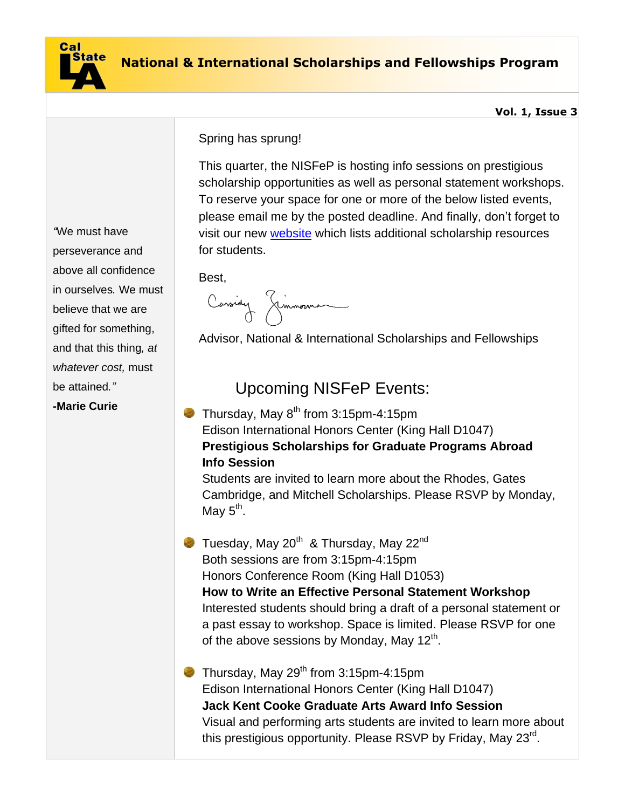

**Vol. 1, Issue 3**

Spring has sprung!

This quarter, the NISFeP is hosting info sessions on prestigious scholarship opportunities as well as personal statement workshops. To reserve your space for one or more of the below listed events, please email me by the posted deadline. And finally, don't forget to visit our new [website](http://web.calstatela.edu/academic/honorscollege/nis-overview.php) which lists additional scholarship resources for students.

Best,

Cassidy Gimmonna

Advisor, National & International Scholarships and Fellowships

## Upcoming NISFeP Events:

## **-Marie Curie Curie Curie Curie Curie Curie Curie Curie Curie Curie Curie Curie Curie Curie Curie Curie Curie Curie Curie Curie Curie Curie Curie Curie Curie Curie Curie** Edison International Honors Center (King Hall D1047) **Prestigious Scholarships for Graduate Programs Abroad Info Session**

Students are invited to learn more about the Rhodes, Gates Cambridge, and Mitchell Scholarships. Please RSVP by Monday, May  $5^{\text{th}}$ .

Tuesday, May 20<sup>th</sup> & Thursday, May 22<sup>nd</sup> Both sessions are from 3:15pm-4:15pm Honors Conference Room (King Hall D1053) **How to Write an Effective Personal Statement Workshop** Interested students should bring a draft of a personal statement or a past essay to workshop. Space is limited. Please RSVP for one of the above sessions by Monday, May 12<sup>th</sup>.

Thursday, May 29<sup>th</sup> from 3:15pm-4:15pm Edison International Honors Center (King Hall D1047) **Jack Kent Cooke Graduate Arts Award Info Session** Visual and performing arts students are invited to learn more about this prestigious opportunity. Please RSVP by Friday, May 23<sup>rd</sup>.

*"*We must have perseverance and above all confidence in ourselves*.* We must believe that we are gifted for something, and that this thing*, at whatever cost,* must be attained*."*